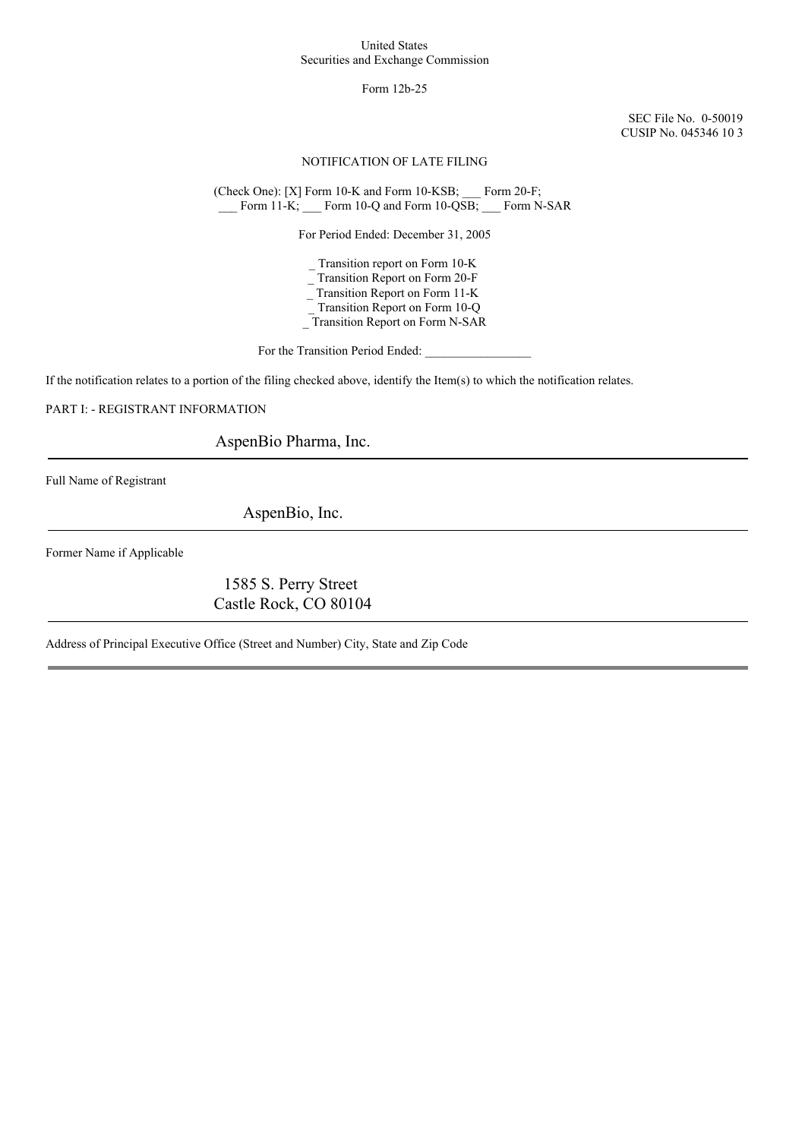#### United States Securities and Exchange Commission

### Form 12b-25

SEC File No. 0-50019 CUSIP No. 045346 10 3

### NOTIFICATION OF LATE FILING

(Check One): [X] Form 10-K and Form 10-KSB; \_\_\_ Form 20-F; \_\_\_ Form 11-K; \_\_\_ Form 10-Q and Form 10-QSB; \_\_\_ Form N-SAR

For Period Ended: December 31, 2005

\_ Transition report on Form 10-K \_ Transition Report on Form 20-F \_ Transition Report on Form 11-K Transition Report on Form 10-Q

\_ Transition Report on Form N-SAR

For the Transition Period Ended:

If the notification relates to a portion of the filing checked above, identify the Item(s) to which the notification relates.

PART I: - REGISTRANT INFORMATION

AspenBio Pharma, Inc.

Full Name of Registrant

AspenBio, Inc.

Former Name if Applicable

1585 S. Perry Street Castle Rock, CO 80104

Address of Principal Executive Office (Street and Number) City, State and Zip Code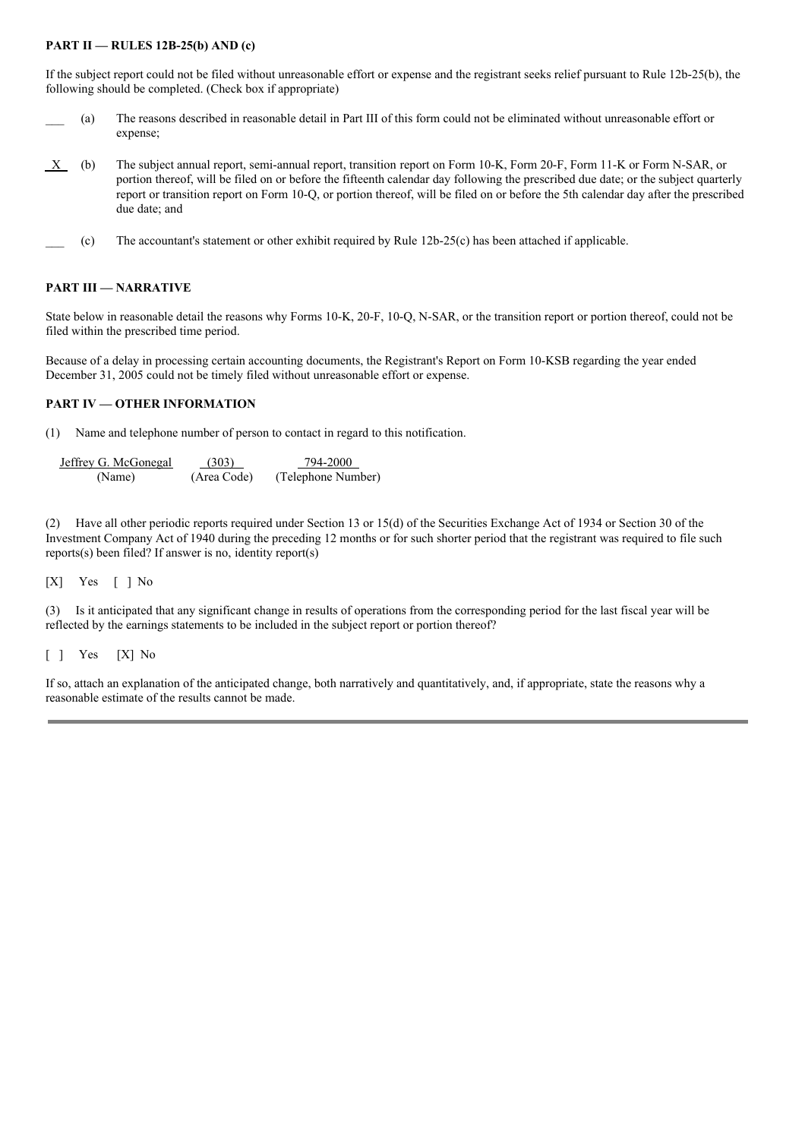### **PART II — RULES 12B-25(b) AND (c)**

If the subject report could not be filed without unreasonable effort or expense and the registrant seeks relief pursuant to Rule 12b-25(b), the following should be completed. (Check box if appropriate)

- \_\_\_ (a) The reasons described in reasonable detail in Part III of this form could not be eliminated without unreasonable effort or expense;
- X (b) The subject annual report, semi-annual report, transition report on Form 10-K, Form 20-F, Form 11-K or Form N-SAR, or portion thereof, will be filed on or before the fifteenth calendar day following the prescribed due date; or the subject quarterly report or transition report on Form 10-Q, or portion thereof, will be filed on or before the 5th calendar day after the prescribed due date; and
- $(c)$  The accountant's statement or other exhibit required by Rule 12b-25(c) has been attached if applicable.

#### **PART III — NARRATIVE**

State below in reasonable detail the reasons why Forms 10-K, 20-F, 10-Q, N-SAR, or the transition report or portion thereof, could not be filed within the prescribed time period.

Because of a delay in processing certain accounting documents, the Registrant's Report on Form 10-KSB regarding the year ended December 31, 2005 could not be timely filed without unreasonable effort or expense.

## **PART IV — OTHER INFORMATION**

(1) Name and telephone number of person to contact in regard to this notification.

| Jeffrey G. McGonegal | (303)       | 794-2000           |
|----------------------|-------------|--------------------|
| (Name)               | (Area Code) | (Telephone Number) |

(2) Have all other periodic reports required under Section 13 or 15(d) of the Securities Exchange Act of 1934 or Section 30 of the Investment Company Act of 1940 during the preceding 12 months or for such shorter period that the registrant was required to file such reports(s) been filed? If answer is no, identity report(s)

[X] Yes [ ] No

(3) Is it anticipated that any significant change in results of operations from the corresponding period for the last fiscal year will be reflected by the earnings statements to be included in the subject report or portion thereof?

[ ] Yes [X] No

If so, attach an explanation of the anticipated change, both narratively and quantitatively, and, if appropriate, state the reasons why a reasonable estimate of the results cannot be made.